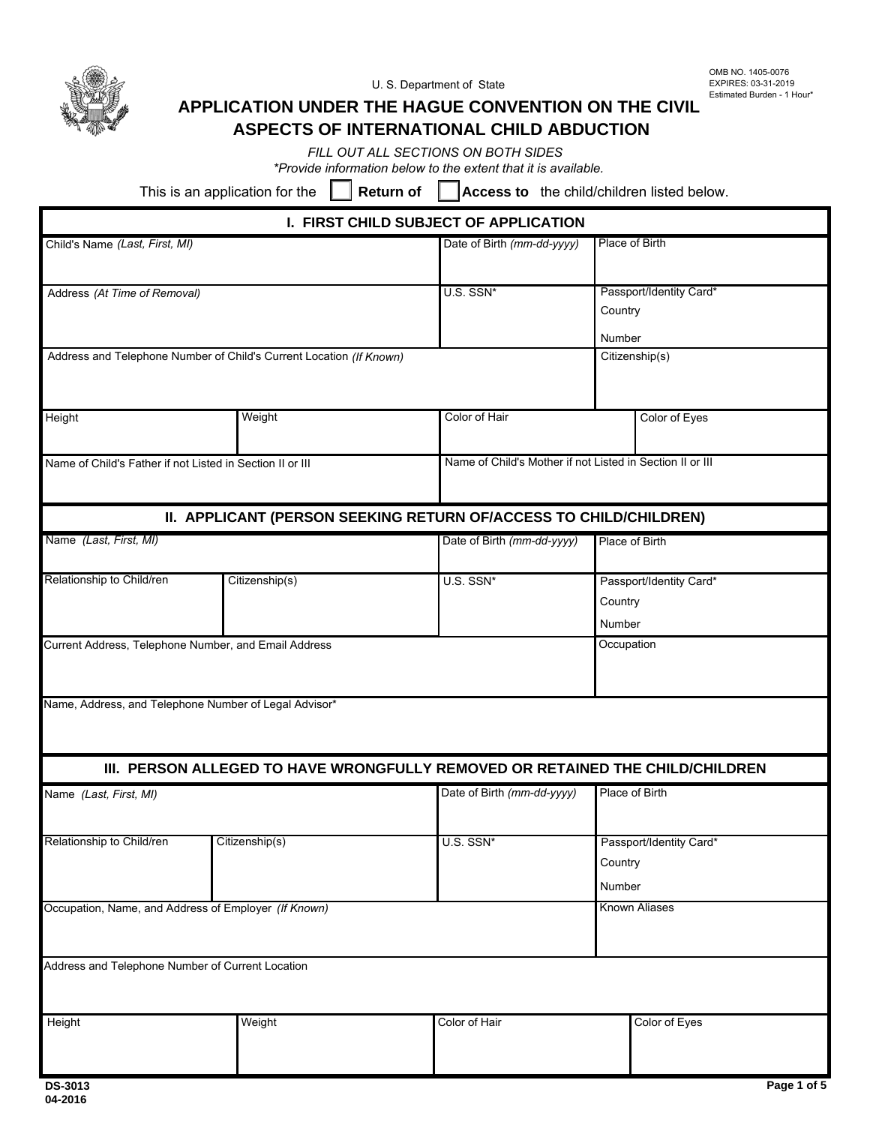

U. S. Department of State

OMB NO. 1405-0076 EXPIRES: 03-31-2019 Estimated Burden - 1 Hour\*

# **APPLICATION UNDER THE HAGUE CONVENTION ON THE CIVIL ASPECTS OF INTERNATIONAL CHILD ABDUCTION**

*FILL OUT ALL SECTIONS ON BOTH SIDES*

*\*Provide information below to the extent that it is available.*

This is an application for the  $\Box$  **Return of** 

Access to the child/children listed below.

| I. FIRST CHILD SUBJECT OF APPLICATION                     |                                                                               |                                                           |                                              |  |  |  |
|-----------------------------------------------------------|-------------------------------------------------------------------------------|-----------------------------------------------------------|----------------------------------------------|--|--|--|
| Child's Name (Last, First, MI)                            |                                                                               | Date of Birth (mm-dd-yyyy)                                | Place of Birth                               |  |  |  |
| Address (At Time of Removal)                              |                                                                               | U.S. SSN*                                                 | Passport/Identity Card*<br>Country<br>Number |  |  |  |
|                                                           | Address and Telephone Number of Child's Current Location (If Known)           |                                                           | Citizenship(s)                               |  |  |  |
| Height                                                    | Weight                                                                        | Color of Hair                                             | Color of Eyes                                |  |  |  |
| Name of Child's Father if not Listed in Section II or III |                                                                               | Name of Child's Mother if not Listed in Section II or III |                                              |  |  |  |
|                                                           | II. APPLICANT (PERSON SEEKING RETURN OF/ACCESS TO CHILD/CHILDREN)             |                                                           |                                              |  |  |  |
| Name (Last, First, MI)                                    |                                                                               | Date of Birth (mm-dd-yyyy)                                | Place of Birth                               |  |  |  |
| Relationship to Child/ren                                 | Citizenship(s)                                                                | U.S. SSN*                                                 | Passport/Identity Card*<br>Country<br>Number |  |  |  |
| Current Address, Telephone Number, and Email Address      |                                                                               |                                                           | Occupation                                   |  |  |  |
| Name, Address, and Telephone Number of Legal Advisor*     |                                                                               |                                                           |                                              |  |  |  |
|                                                           | III. PERSON ALLEGED TO HAVE WRONGFULLY REMOVED OR RETAINED THE CHILD/CHILDREN |                                                           |                                              |  |  |  |
| Name (Last, First, MI)                                    |                                                                               | Date of Birth (mm-dd-yyyy)                                | Place of Birth                               |  |  |  |
| Relationship to Child/ren                                 | Citizenship(s)                                                                | U.S. SSN*                                                 | Passport/Identity Card*<br>Country<br>Number |  |  |  |
| Occupation, Name, and Address of Employer (If Known)      |                                                                               |                                                           | <b>Known Aliases</b>                         |  |  |  |
| Address and Telephone Number of Current Location          |                                                                               |                                                           |                                              |  |  |  |
| Height                                                    | Weight                                                                        | Color of Hair                                             | Color of Eyes                                |  |  |  |
|                                                           |                                                                               |                                                           |                                              |  |  |  |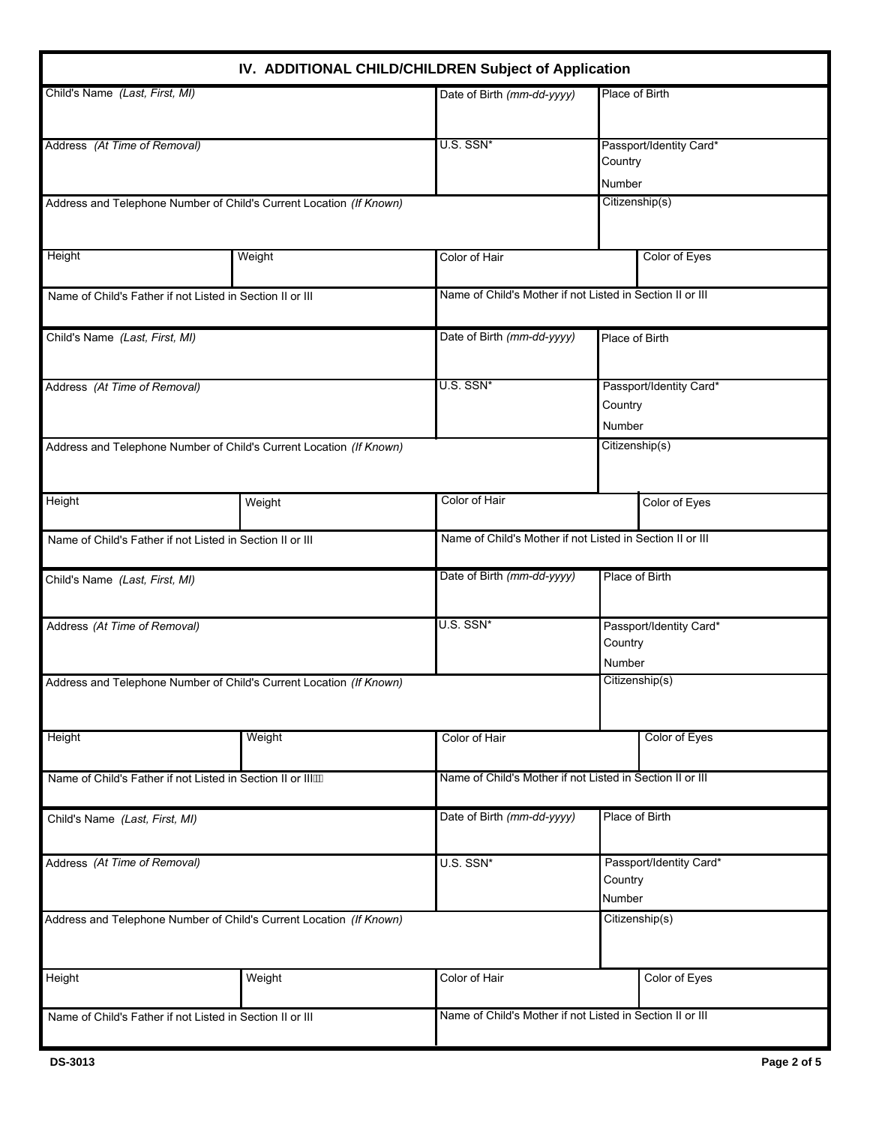|                                                                          | IV. ADDITIONAL CHILD/CHILDREN Subject of Application |                                                           |                                              |                |
|--------------------------------------------------------------------------|------------------------------------------------------|-----------------------------------------------------------|----------------------------------------------|----------------|
| Child's Name (Last, First, MI)                                           |                                                      | Date of Birth (mm-dd-yyyy)                                | Place of Birth                               |                |
| Address (At Time of Removal)                                             |                                                      | U.S. SSN*                                                 | Passport/Identity Card*<br>Country<br>Number |                |
| Address and Telephone Number of Child's Current Location (If Known)      |                                                      | Citizenship(s)                                            |                                              |                |
| Height                                                                   | Weight                                               | Color of Hair                                             |                                              | Color of Eyes  |
| Name of Child's Father if not Listed in Section II or III                |                                                      | Name of Child's Mother if not Listed in Section II or III |                                              |                |
| Child's Name (Last, First, MI)                                           |                                                      | Date of Birth (mm-dd-yyyy)                                | Place of Birth                               |                |
| Address (At Time of Removal)                                             |                                                      | U.S. SSN*                                                 | Passport/Identity Card*<br>Country<br>Number |                |
| Address and Telephone Number of Child's Current Location (If Known)      |                                                      |                                                           |                                              | Citizenship(s) |
| Height                                                                   | Weight                                               | Color of Hair                                             |                                              | Color of Eyes  |
| Name of Child's Father if not Listed in Section II or III                |                                                      | Name of Child's Mother if not Listed in Section II or III |                                              |                |
| Child's Name (Last, First, MI)                                           |                                                      | Date of Birth (mm-dd-yyyy)                                | Place of Birth                               |                |
| Address (At Time of Removal)                                             |                                                      | U.S. SSN*                                                 | Passport/Identity Card*<br>Country<br>Number |                |
| I<br>Address and Telephone Number of Child's Current Location (If Known) |                                                      |                                                           |                                              | Citizenship(s) |
| Height                                                                   | Weight                                               | Color of Hair                                             |                                              | Color of Eyes  |
| Name of Child's Father if not Listed in Section II or IIIÄ               |                                                      | Name of Child's Mother if not Listed in Section II or III |                                              |                |
| Child's Name (Last, First, MI)                                           |                                                      | Date of Birth (mm-dd-yyyy)                                | Place of Birth                               |                |
| Address (At Time of Removal)                                             |                                                      | U.S. SSN*                                                 | Passport/Identity Card*<br>Country<br>Number |                |
| Address and Telephone Number of Child's Current Location (If Known)      |                                                      |                                                           |                                              | Citizenship(s) |
| Height                                                                   | Weight                                               | Color of Hair                                             |                                              | Color of Eyes  |
| Name of Child's Father if not Listed in Section II or III                |                                                      | Name of Child's Mother if not Listed in Section II or III |                                              |                |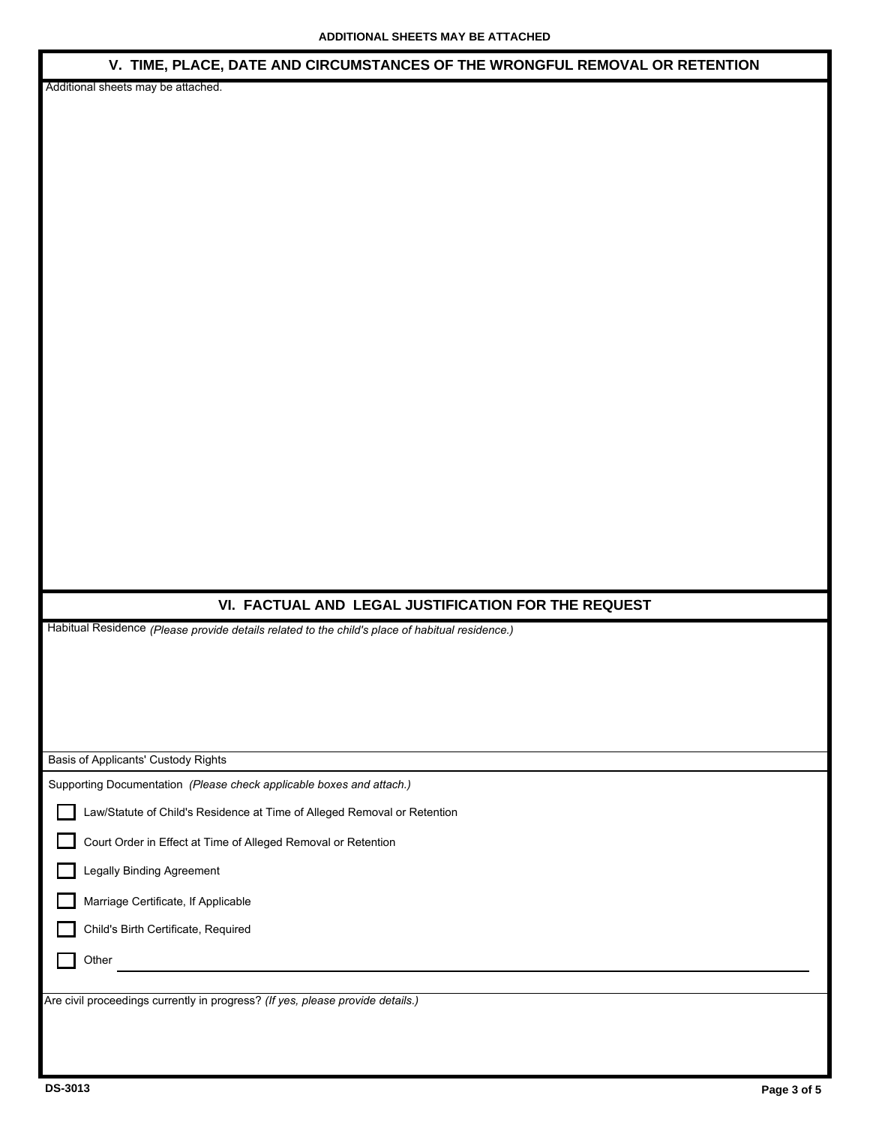#### **V. TIME, PLACE, DATE AND CIRCUMSTANCES OF THE WRONGFUL REMOVAL OR RETENTION**

Additional sheets may be attached.

### **VI. FACTUAL AND LEGAL JUSTIFICATION FOR THE REQUEST**

Habitual Residence *(Please provide details related to the child's place of habitual residence.)*

| Basis of Applicants' Custody Rights                                            |  |  |  |  |
|--------------------------------------------------------------------------------|--|--|--|--|
| Supporting Documentation (Please check applicable boxes and attach.)           |  |  |  |  |
| Law/Statute of Child's Residence at Time of Alleged Removal or Retention       |  |  |  |  |
| Court Order in Effect at Time of Alleged Removal or Retention                  |  |  |  |  |
| <b>Legally Binding Agreement</b>                                               |  |  |  |  |
| Marriage Certificate, If Applicable                                            |  |  |  |  |
| Child's Birth Certificate, Required                                            |  |  |  |  |
| Other                                                                          |  |  |  |  |
|                                                                                |  |  |  |  |
| Are civil proceedings currently in progress? (If yes, please provide details.) |  |  |  |  |
|                                                                                |  |  |  |  |
|                                                                                |  |  |  |  |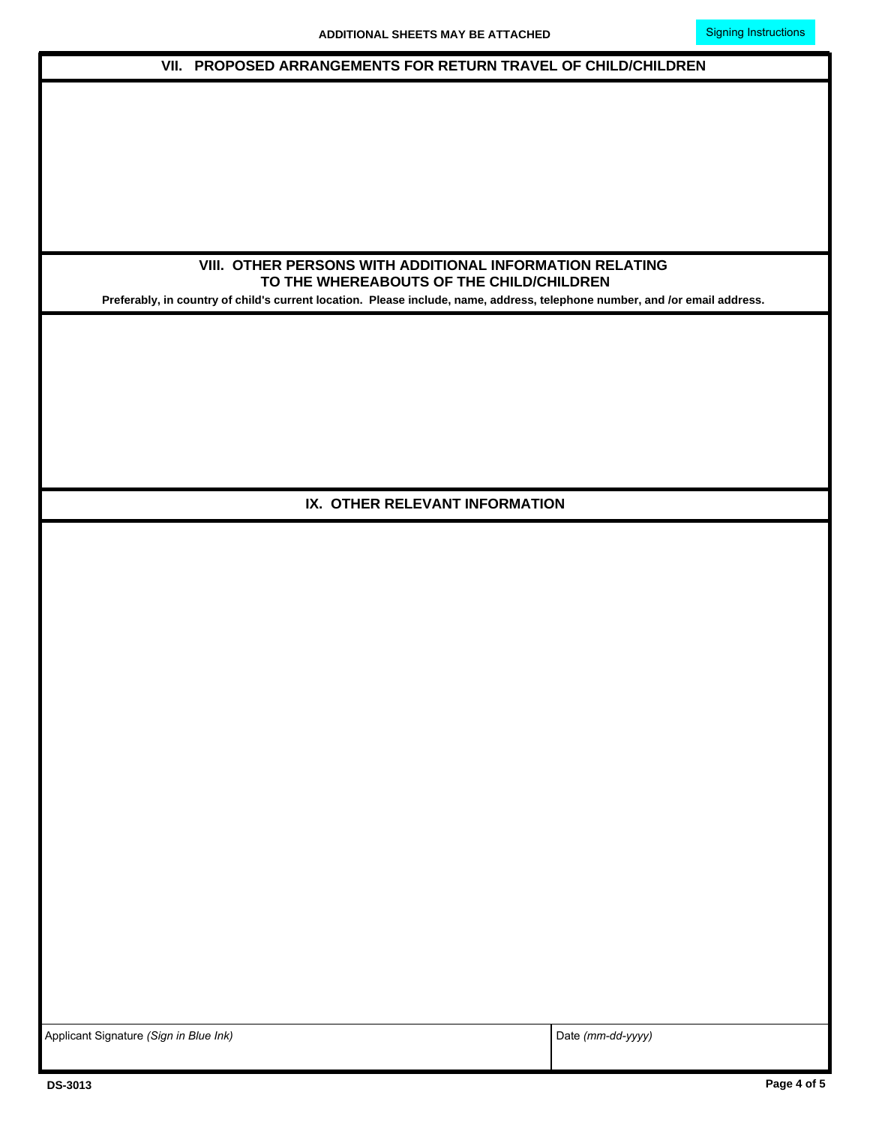| VII. PROPOSED ARRANGEMENTS FOR RETURN TRAVEL OF CHILD/CHILDREN                                                              |                   |  |  |  |
|-----------------------------------------------------------------------------------------------------------------------------|-------------------|--|--|--|
|                                                                                                                             |                   |  |  |  |
|                                                                                                                             |                   |  |  |  |
|                                                                                                                             |                   |  |  |  |
|                                                                                                                             |                   |  |  |  |
|                                                                                                                             |                   |  |  |  |
|                                                                                                                             |                   |  |  |  |
|                                                                                                                             |                   |  |  |  |
|                                                                                                                             |                   |  |  |  |
|                                                                                                                             |                   |  |  |  |
| VIII. OTHER PERSONS WITH ADDITIONAL INFORMATION RELATING                                                                    |                   |  |  |  |
| TO THE WHEREABOUTS OF THE CHILD/CHILDREN                                                                                    |                   |  |  |  |
| Preferably, in country of child's current location. Please include, name, address, telephone number, and /or email address. |                   |  |  |  |
|                                                                                                                             |                   |  |  |  |
|                                                                                                                             |                   |  |  |  |
|                                                                                                                             |                   |  |  |  |
|                                                                                                                             |                   |  |  |  |
|                                                                                                                             |                   |  |  |  |
|                                                                                                                             |                   |  |  |  |
|                                                                                                                             |                   |  |  |  |
|                                                                                                                             |                   |  |  |  |
|                                                                                                                             |                   |  |  |  |
|                                                                                                                             |                   |  |  |  |
| IX. OTHER RELEVANT INFORMATION                                                                                              |                   |  |  |  |
|                                                                                                                             |                   |  |  |  |
|                                                                                                                             |                   |  |  |  |
|                                                                                                                             |                   |  |  |  |
|                                                                                                                             |                   |  |  |  |
|                                                                                                                             |                   |  |  |  |
|                                                                                                                             |                   |  |  |  |
|                                                                                                                             |                   |  |  |  |
|                                                                                                                             |                   |  |  |  |
|                                                                                                                             |                   |  |  |  |
|                                                                                                                             |                   |  |  |  |
|                                                                                                                             |                   |  |  |  |
|                                                                                                                             |                   |  |  |  |
|                                                                                                                             |                   |  |  |  |
|                                                                                                                             |                   |  |  |  |
|                                                                                                                             |                   |  |  |  |
|                                                                                                                             |                   |  |  |  |
|                                                                                                                             |                   |  |  |  |
|                                                                                                                             |                   |  |  |  |
|                                                                                                                             |                   |  |  |  |
|                                                                                                                             |                   |  |  |  |
|                                                                                                                             |                   |  |  |  |
|                                                                                                                             |                   |  |  |  |
|                                                                                                                             |                   |  |  |  |
|                                                                                                                             |                   |  |  |  |
|                                                                                                                             |                   |  |  |  |
|                                                                                                                             |                   |  |  |  |
|                                                                                                                             |                   |  |  |  |
|                                                                                                                             |                   |  |  |  |
| Applicant Signature (Sign in Blue Ink)                                                                                      | Date (mm-dd-yyyy) |  |  |  |